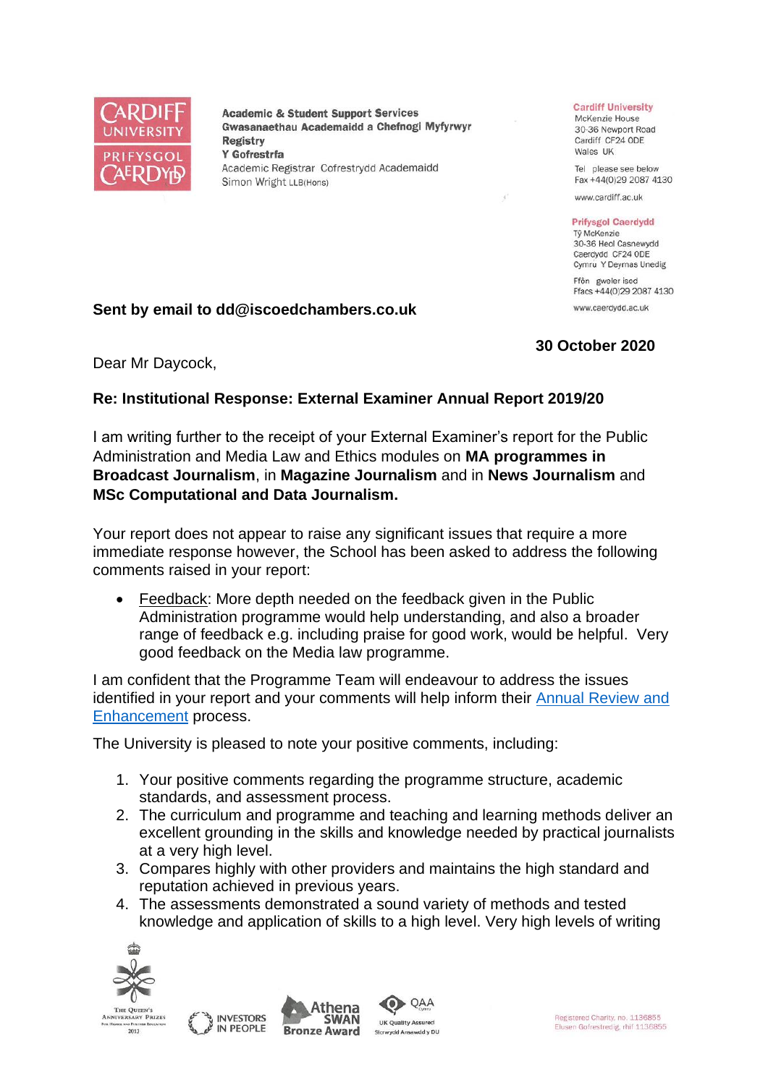

**Academic & Student Support Services** Gwasanaethau Academaidd a Chefnogi Myfyrwyr **Registry** Y Gofrestrfa Academic Registrar Cofrestrydd Academaidd Simon Wright LLB(Hons)

#### **Cardiff University**

McKenzie House 30-36 Newport Road Cardiff CF24 ODE Wales UK

Tel please see below Fax +44(0)29 2087 4130

www.cardiff.ac.uk

### **Prifysgol Caerdydd**

Tỷ McKenzie 30-36 Heol Casnewydd Caerdydd CF24 ODE Cymru Y Deyrnas Unedig Ffôn gweler isod

Ffacs +44(0)29 2087 4130 www.caerdydd.ac.uk

## **Sent by email to dd@iscoedchambers.co.uk**

# **30 October 2020**

Dear Mr Daycock,

# **Re: Institutional Response: External Examiner Annual Report 2019/20**

I am writing further to the receipt of your External Examiner's report for the Public Administration and Media Law and Ethics modules on **MA programmes in Broadcast Journalism**, in **Magazine Journalism** and in **News Journalism** and **MSc Computational and Data Journalism.**

Your report does not appear to raise any significant issues that require a more immediate response however, the School has been asked to address the following comments raised in your report:

• Feedback: More depth needed on the feedback given in the Public Administration programme would help understanding, and also a broader range of feedback e.g. including praise for good work, would be helpful. Very good feedback on the Media law programme.

I am confident that the Programme Team will endeavour to address the issues identified in your report and your comments will help inform their [Annual Review and](https://www.cardiff.ac.uk/public-information/quality-and-standards/monitoring-and-review/annual-review-and-enhancement)  [Enhancement](https://www.cardiff.ac.uk/public-information/quality-and-standards/monitoring-and-review/annual-review-and-enhancement) process.

The University is pleased to note your positive comments, including:

- 1. Your positive comments regarding the programme structure, academic standards, and assessment process.
- 2. The curriculum and programme and teaching and learning methods deliver an excellent grounding in the skills and knowledge needed by practical journalists at a very high level.
- 3. Compares highly with other providers and maintains the high standard and reputation achieved in previous years.
- 4. The assessments demonstrated a sound variety of methods and tested knowledge and application of skills to a high level. Very high levels of writing



2013